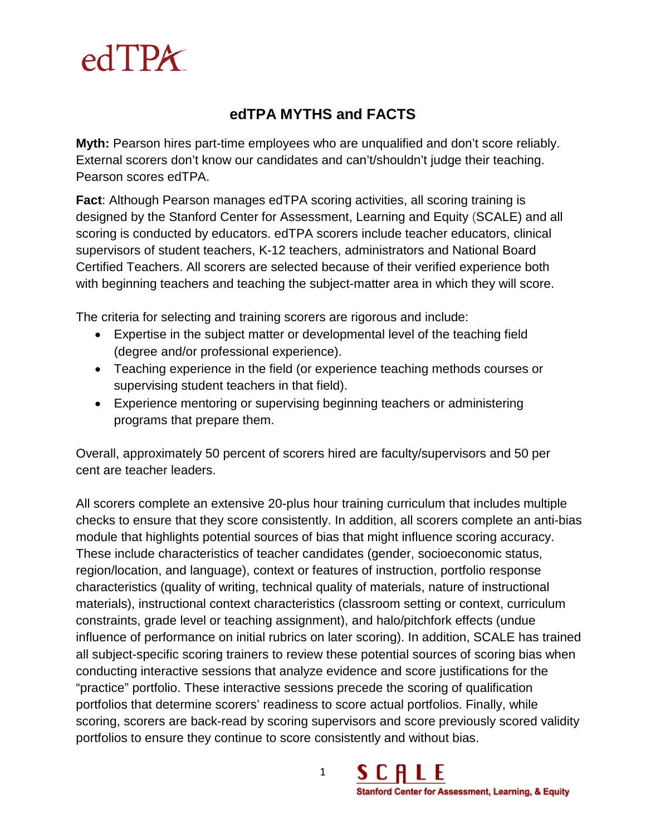

## **edTPA MYTHS and FACTS**

**Myth:** Pearson hires part-time employees who are unqualified and don't score reliably. External scorers don't know our candidates and can't/shouldn't judge their teaching. Pearson scores edTPA.

**Fact**: Although Pearson manages edTPA scoring activities, all scoring training is designed by the Stanford Center for Assessment, Learning and Equity (SCALE) and all scoring is conducted by educators. edTPA scorers include teacher educators, clinical supervisors of student teachers, K-12 teachers, administrators and National Board Certified Teachers. All scorers are selected because of their verified experience both with beginning teachers and teaching the subject-matter area in which they will score.

The criteria for selecting and training scorers are rigorous and include:

- Expertise in the subject matter or developmental level of the teaching field (degree and/or professional experience).
- Teaching experience in the field (or experience teaching methods courses or supervising student teachers in that field).
- Experience mentoring or supervising beginning teachers or administering programs that prepare them.

Overall, approximately 50 percent of scorers hired are faculty/supervisors and 50 per cent are teacher leaders.

All scorers complete an extensive 20-plus hour training curriculum that includes multiple checks to ensure that they score consistently. In addition, all scorers complete an anti-bias module that highlights potential sources of bias that might influence scoring accuracy. These include characteristics of teacher candidates (gender, socioeconomic status, region/location, and language), context or features of instruction, portfolio response characteristics (quality of writing, technical quality of materials, nature of instructional materials), instructional context characteristics (classroom setting or context, curriculum constraints, grade level or teaching assignment), and halo/pitchfork effects (undue influence of performance on initial rubrics on later scoring). In addition, SCALE has trained all subject-specific scoring trainers to review these potential sources of scoring bias when conducting interactive sessions that analyze evidence and score justifications for the "practice" portfolio. These interactive sessions precede the scoring of qualification portfolios that determine scorers' readiness to score actual portfolios. Finally, while scoring, scorers are back-read by scoring supervisors and score previously scored validity portfolios to ensure they continue to score consistently and without bias.

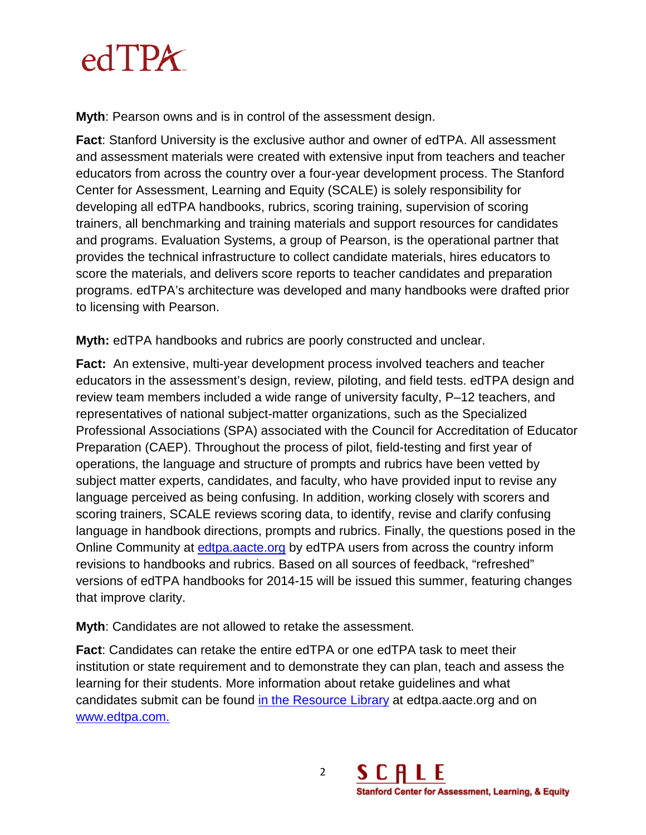

**Myth**: Pearson owns and is in control of the assessment design.

**Fact**: Stanford University is the exclusive author and owner of edTPA. All assessment and assessment materials were created with extensive input from teachers and teacher educators from across the country over a four-year development process. The Stanford Center for Assessment, Learning and Equity (SCALE) is solely responsibility for developing all edTPA handbooks, rubrics, scoring training, supervision of scoring trainers, all benchmarking and training materials and support resources for candidates and programs. Evaluation Systems, a group of Pearson, is the operational partner that provides the technical infrastructure to collect candidate materials, hires educators to score the materials, and delivers score reports to teacher candidates and preparation programs. edTPA's architecture was developed and many handbooks were drafted prior to licensing with Pearson.

**Myth:** edTPA handbooks and rubrics are poorly constructed and unclear.

**Fact:** An extensive, multi-year development process involved teachers and teacher educators in the assessment's design, review, piloting, and field tests. edTPA design and review team members included a wide range of university faculty, P–12 teachers, and representatives of national subject-matter organizations, such as the Specialized Professional Associations (SPA) associated with the Council for Accreditation of Educator Preparation (CAEP). Throughout the process of pilot, field-testing and first year of operations, the language and structure of prompts and rubrics have been vetted by subject matter experts, candidates, and faculty, who have provided input to revise any language perceived as being confusing. In addition, working closely with scorers and scoring trainers, SCALE reviews scoring data, to identify, revise and clarify confusing language in handbook directions, prompts and rubrics. Finally, the questions posed in the Online Community at [edtpa.aacte.org](http://edtpa.aacte.org/) by edTPA users from across the country inform revisions to handbooks and rubrics. Based on all sources of feedback, "refreshed" versions of edTPA handbooks for 2014-15 will be issued this summer, featuring changes that improve clarity.

**Myth**: Candidates are not allowed to retake the assessment.

**Fact**: Candidates can retake the entire edTPA or one edTPA task to meet their institution or state requirement and to demonstrate they can plan, teach and assess the learning for their students. More information about retake guidelines and what candidates submit can be found [in the Resource Library](https://secure.aacte.org/apps/rl/resource.php?resid=311&ref=edtpa) at edtpa.aacte.org and on [www.edtpa.com.](http://www.edtpa.com/PageView.aspx?f=GEN_RetakingEdTPA.html)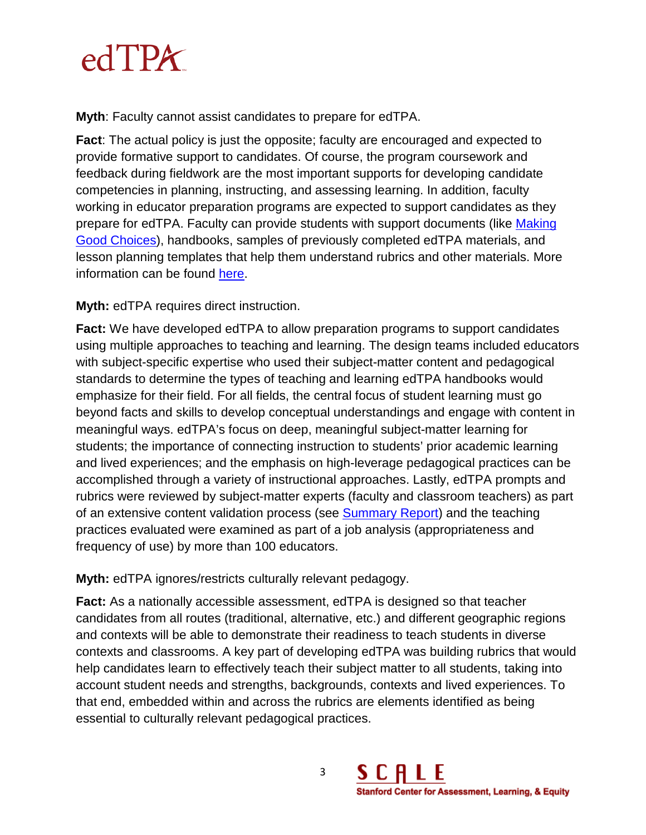

**Myth**: Faculty cannot assist candidates to prepare for edTPA.

**Fact**: The actual policy is just the opposite; faculty are encouraged and expected to provide formative support to candidates. Of course, the program coursework and feedback during fieldwork are the most important supports for developing candidate competencies in planning, instructing, and assessing learning. In addition, faculty working in educator preparation programs are expected to support candidates as they prepare for edTPA. Faculty can provide students with support documents (like [Making](https://secure.aacte.org/apps/rl/res_get.php?fid=788&ref=edtpa)  [Good Choices\)](https://secure.aacte.org/apps/rl/res_get.php?fid=788&ref=edtpa), handbooks, samples of previously completed edTPA materials, and lesson planning templates that help them understand rubrics and other materials. More information can be found [here.](http://www.edtpa.com/Content/Docs/GuidelinesForSupportingCandidates.pdf)

**Myth:** edTPA requires direct instruction.

**Fact:** We have developed edTPA to allow preparation programs to support candidates using multiple approaches to teaching and learning. The design teams included educators with subject-specific expertise who used their subject-matter content and pedagogical standards to determine the types of teaching and learning edTPA handbooks would emphasize for their field. For all fields, the central focus of student learning must go beyond facts and skills to develop conceptual understandings and engage with content in meaningful ways. edTPA's focus on deep, meaningful subject-matter learning for students; the importance of connecting instruction to students' prior academic learning and lived experiences; and the emphasis on high-leverage pedagogical practices can be accomplished through a variety of instructional approaches. Lastly, edTPA prompts and rubrics were reviewed by subject-matter experts (faculty and classroom teachers) as part of an extensive content validation process (see [Summary Report\)](https://secure.aacte.org/apps/rl/res_get.php?fid=827&ref=edtpa) and the teaching practices evaluated were examined as part of a job analysis (appropriateness and frequency of use) by more than 100 educators.

**Myth:** edTPA ignores/restricts culturally relevant pedagogy.

**Fact:** As a nationally accessible assessment, edTPA is designed so that teacher candidates from all routes (traditional, alternative, etc.) and different geographic regions and contexts will be able to demonstrate their readiness to teach students in diverse contexts and classrooms. A key part of developing edTPA was building rubrics that would help candidates learn to effectively teach their subject matter to all students, taking into account student needs and strengths, backgrounds, contexts and lived experiences. To that end, embedded within and across the rubrics are elements identified as being essential to culturally relevant pedagogical practices.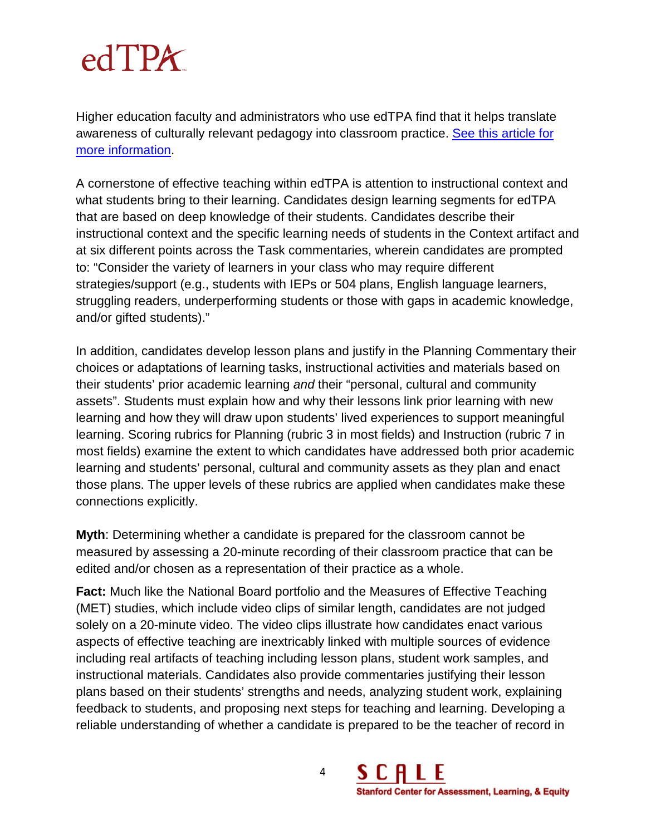## $edTPX$

Higher education faculty and administrators who use edTPA find that it helps translate awareness of culturally relevant pedagogy into classroom practice. [See this article for](http://diverseeducation.com/article/61280/)  [more information.](http://diverseeducation.com/article/61280/)

A cornerstone of effective teaching within edTPA is attention to instructional context and what students bring to their learning. Candidates design learning segments for edTPA that are based on deep knowledge of their students. Candidates describe their instructional context and the specific learning needs of students in the Context artifact and at six different points across the Task commentaries, wherein candidates are prompted to: "Consider the variety of learners in your class who may require different strategies/support (e.g., students with IEPs or 504 plans, English language learners, struggling readers, underperforming students or those with gaps in academic knowledge, and/or gifted students)."

In addition, candidates develop lesson plans and justify in the Planning Commentary their choices or adaptations of learning tasks, instructional activities and materials based on their students' prior academic learning *and* their "personal, cultural and community assets". Students must explain how and why their lessons link prior learning with new learning and how they will draw upon students' lived experiences to support meaningful learning. Scoring rubrics for Planning (rubric 3 in most fields) and Instruction (rubric 7 in most fields) examine the extent to which candidates have addressed both prior academic learning and students' personal, cultural and community assets as they plan and enact those plans. The upper levels of these rubrics are applied when candidates make these connections explicitly.

**Myth**: Determining whether a candidate is prepared for the classroom cannot be measured by assessing a 20-minute recording of their classroom practice that can be edited and/or chosen as a representation of their practice as a whole.

**Fact:** Much like the National Board portfolio and the Measures of Effective Teaching (MET) studies, which include video clips of similar length, candidates are not judged solely on a 20-minute video. The video clips illustrate how candidates enact various aspects of effective teaching are inextricably linked with multiple sources of evidence including real artifacts of teaching including lesson plans, student work samples, and instructional materials. Candidates also provide commentaries justifying their lesson plans based on their students' strengths and needs, analyzing student work, explaining feedback to students, and proposing next steps for teaching and learning. Developing a reliable understanding of whether a candidate is prepared to be the teacher of record in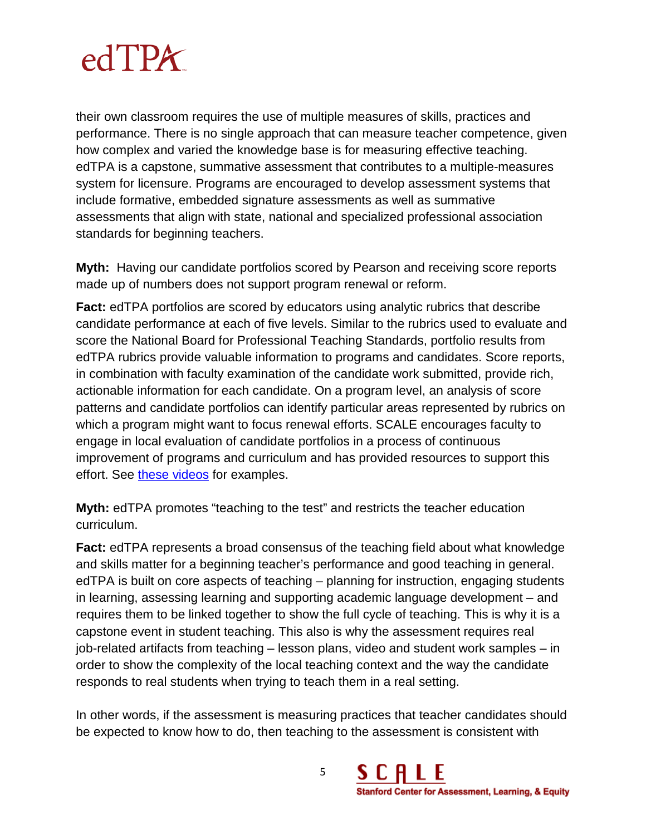## $edTPX$

their own classroom requires the use of multiple measures of skills, practices and performance. There is no single approach that can measure teacher competence, given how complex and varied the knowledge base is for measuring effective teaching. edTPA is a capstone, summative assessment that contributes to a multiple-measures system for licensure. Programs are encouraged to develop assessment systems that include formative, embedded signature assessments as well as summative assessments that align with state, national and specialized professional association standards for beginning teachers.

**Myth:** Having our candidate portfolios scored by Pearson and receiving score reports made up of numbers does not support program renewal or reform.

**Fact:** edTPA portfolios are scored by educators using analytic rubrics that describe candidate performance at each of five levels. Similar to the rubrics used to evaluate and score the National Board for Professional Teaching Standards, portfolio results from edTPA rubrics provide valuable information to programs and candidates. Score reports, in combination with faculty examination of the candidate work submitted, provide rich, actionable information for each candidate. On a program level, an analysis of score patterns and candidate portfolios can identify particular areas represented by rubrics on which a program might want to focus renewal efforts. SCALE encourages faculty to engage in local evaluation of candidate portfolios in a process of continuous improvement of programs and curriculum and has provided resources to support this effort. See [these videos](http://edtpa.aacte.org/resources/2013-national-edtpa-implementation-conference) for examples.

**Myth:** edTPA promotes "teaching to the test" and restricts the teacher education curriculum.

**Fact:** edTPA represents a broad consensus of the teaching field about what knowledge and skills matter for a beginning teacher's performance and good teaching in general. edTPA is built on core aspects of teaching – planning for instruction, engaging students in learning, assessing learning and supporting academic language development – and requires them to be linked together to show the full cycle of teaching. This is why it is a capstone event in student teaching. This also is why the assessment requires real job-related artifacts from teaching – lesson plans, video and student work samples – in order to show the complexity of the local teaching context and the way the candidate responds to real students when trying to teach them in a real setting.

In other words, if the assessment is measuring practices that teacher candidates should be expected to know how to do, then teaching to the assessment is consistent with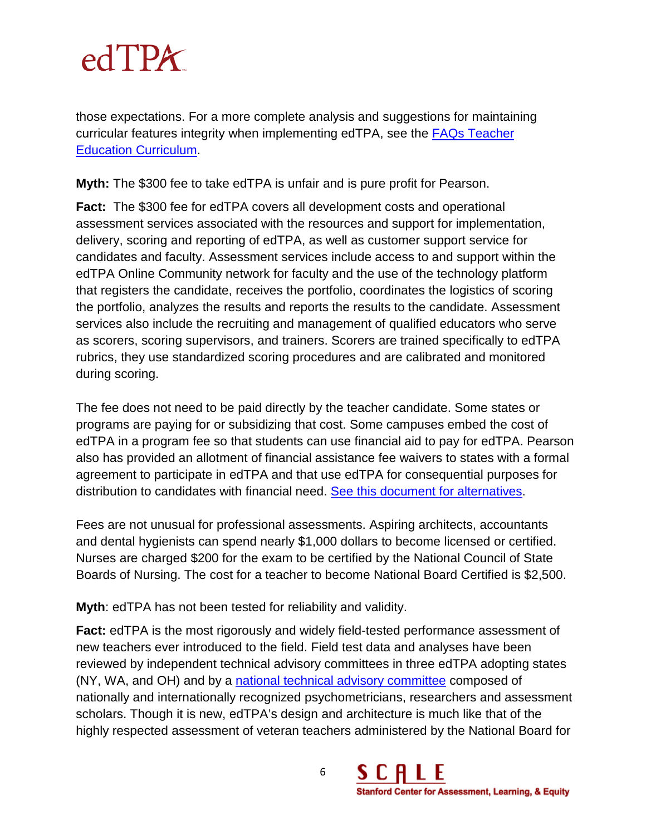

those expectations. For a more complete analysis and suggestions for maintaining curricular features integrity when implementing edTPA, see the FAQs [Teacher](https://secure.aacte.org/apps/rl/res_get.php?fid=1118&ref=edtpa)  [Education Curriculum.](https://secure.aacte.org/apps/rl/res_get.php?fid=1118&ref=edtpa)

**Myth:** The \$300 fee to take edTPA is unfair and is pure profit for Pearson.

**Fact:** The \$300 fee for edTPA covers all development costs and operational assessment services associated with the resources and support for implementation, delivery, scoring and reporting of edTPA, as well as customer support service for candidates and faculty. Assessment services include access to and support within the edTPA Online Community network for faculty and the use of the technology platform that registers the candidate, receives the portfolio, coordinates the logistics of scoring the portfolio, analyzes the results and reports the results to the candidate. Assessment services also include the recruiting and management of qualified educators who serve as scorers, scoring supervisors, and trainers. Scorers are trained specifically to edTPA rubrics, they use standardized scoring procedures and are calibrated and monitored during scoring.

The fee does not need to be paid directly by the teacher candidate. Some states or programs are paying for or subsidizing that cost. Some campuses embed the cost of edTPA in a program fee so that students can use financial aid to pay for edTPA. Pearson also has provided an allotment of financial assistance fee waivers to states with a formal agreement to participate in edTPA and that use edTPA for consequential purposes for distribution to candidates with financial need. [See this document for alternatives.](https://secure.aacte.org/apps/rl/resource.php?resid=439&ref=edtpa)

Fees are not unusual for professional assessments. Aspiring architects, accountants and dental hygienists can spend nearly \$1,000 dollars to become licensed or certified. Nurses are charged \$200 for the exam to be certified by the National Council of State Boards of Nursing. The cost for a teacher to become National Board Certified is \$2,500.

**Myth**: edTPA has not been tested for reliability and validity.

**Fact:** edTPA is the most rigorously and widely field-tested performance assessment of new teachers ever introduced to the field. Field test data and analyses have been reviewed by independent technical advisory committees in three edTPA adopting states (NY, WA, and OH) and by a [national technical advisory committee](https://secure.aacte.org/apps/rl/res_get.php?fid=1320&ref=rl) composed of nationally and internationally recognized psychometricians, researchers and assessment scholars. Though it is new, edTPA's design and architecture is much like that of the highly respected assessment of veteran teachers administered by the National Board for